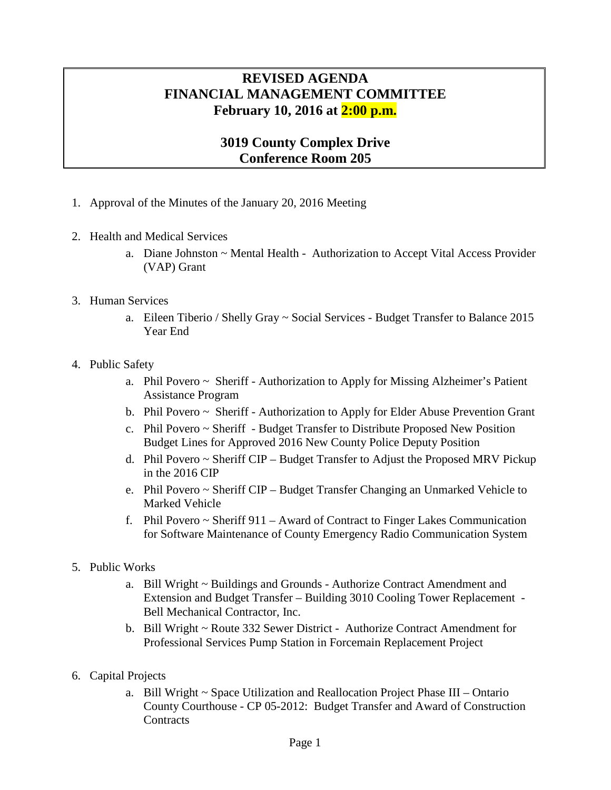## **REVISED AGENDA FINANCIAL MANAGEMENT COMMITTEE February 10, 2016 at 2:00 p.m.**

## **3019 County Complex Drive Conference Room 205**

- 1. Approval of the Minutes of the January 20, 2016 Meeting
- 2. Health and Medical Services
	- a. Diane Johnston ~ Mental Health Authorization to Accept Vital Access Provider (VAP) Grant
- 3. Human Services
	- a. Eileen Tiberio / Shelly Gray ~ Social Services Budget Transfer to Balance 2015 Year End
- 4. Public Safety
	- a. Phil Povero ~ Sheriff Authorization to Apply for Missing Alzheimer's Patient Assistance Program
	- b. Phil Povero ~ Sheriff Authorization to Apply for Elder Abuse Prevention Grant
	- c. Phil Povero ~ Sheriff Budget Transfer to Distribute Proposed New Position Budget Lines for Approved 2016 New County Police Deputy Position
	- d. Phil Povero ~ Sheriff CIP Budget Transfer to Adjust the Proposed MRV Pickup in the 2016 CIP
	- e. Phil Povero ~ Sheriff CIP Budget Transfer Changing an Unmarked Vehicle to Marked Vehicle
	- f. Phil Povero  $\sim$  Sheriff 911 Award of Contract to Finger Lakes Communication for Software Maintenance of County Emergency Radio Communication System
- 5. Public Works
	- a. Bill Wright ~ Buildings and Grounds Authorize Contract Amendment and Extension and Budget Transfer – Building 3010 Cooling Tower Replacement - Bell Mechanical Contractor, Inc.
	- b. Bill Wright ~ Route 332 Sewer District Authorize Contract Amendment for Professional Services Pump Station in Forcemain Replacement Project
- 6. Capital Projects
	- a. Bill Wright ~ Space Utilization and Reallocation Project Phase III Ontario County Courthouse - CP 05-2012: Budget Transfer and Award of Construction **Contracts**